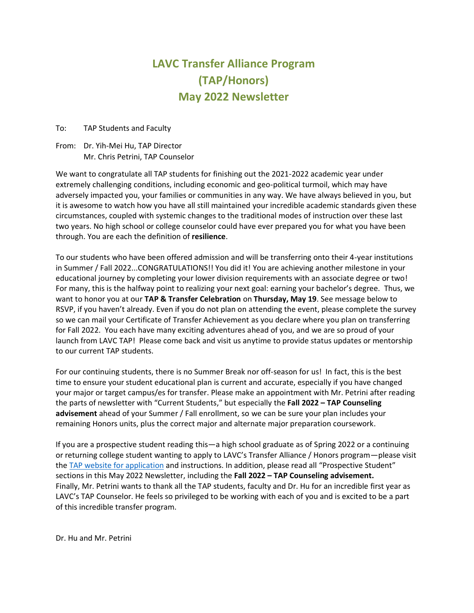# **LAVC Transfer Alliance Program (TAP/Honors) May 2022 Newsletter**

To: TAP Students and Faculty

From: Dr. Yih-Mei Hu, TAP Director Mr. Chris Petrini, TAP Counselor

We want to congratulate all TAP students for finishing out the 2021-2022 academic year under extremely challenging conditions, including economic and geo-political turmoil, which may have adversely impacted you, your families or communities in any way. We have always believed in you, but it is awesome to watch how you have all still maintained your incredible academic standards given these circumstances, coupled with systemic changes to the traditional modes of instruction over these last two years. No high school or college counselor could have ever prepared you for what you have been through. You are each the definition of **resilience**.

To our students who have been offered admission and will be transferring onto their 4-year institutions in Summer / Fall 2022...CONGRATULATIONS!! You did it! You are achieving another milestone in your educational journey by completing your lower division requirements with an associate degree or two! For many, this is the halfway point to realizing your next goal: earning your bachelor's degree. Thus, we want to honor you at our **TAP & Transfer Celebration** on **Thursday, May 19**. See message below to RSVP, if you haven't already. Even if you do not plan on attending the event, please complete the survey so we can mail your Certificate of Transfer Achievement as you declare where you plan on transferring for Fall 2022. You each have many exciting adventures ahead of you, and we are so proud of your launch from LAVC TAP! Please come back and visit us anytime to provide status updates or mentorship to our current TAP students.

For our continuing students, there is no Summer Break nor off-season for us! In fact, this is the best time to ensure your student educational plan is current and accurate, especially if you have changed your major or target campus/es for transfer. Please make an appointment with Mr. Petrini after reading the parts of newsletter with "Current Students," but especially the **Fall 2022 – TAP Counseling advisement** ahead of your Summer / Fall enrollment, so we can be sure your plan includes your remaining Honors units, plus the correct major and alternate major preparation coursework.

If you are a prospective student reading this—a high school graduate as of Spring 2022 or a continuing or returning college student wanting to apply to LAVC's Transfer Alliance / Honors program—please visit th[e TAP website for application](https://lavc.edu/tap/eligibility.aspx) and instructions. In addition, please read all "Prospective Student" sections in this May 2022 Newsletter, including the **Fall 2022 – TAP Counseling advisement.** Finally, Mr. Petrini wants to thank all the TAP students, faculty and Dr. Hu for an incredible first year as LAVC's TAP Counselor. He feels so privileged to be working with each of you and is excited to be a part of this incredible transfer program.

Dr. Hu and Mr. Petrini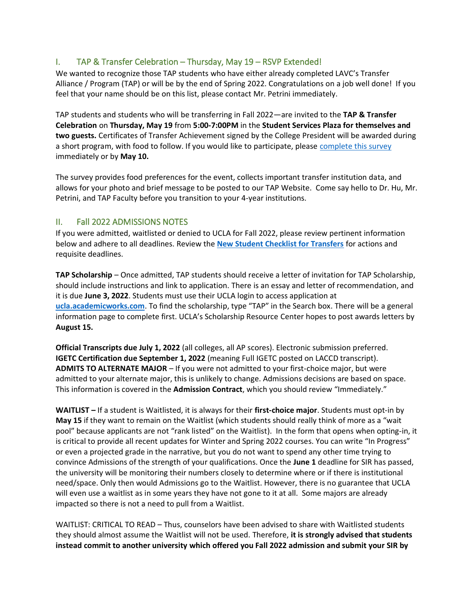#### I. TAP & Transfer Celebration – Thursday, May 19 – RSVP Extended!

We wanted to recognize those TAP students who have either already completed LAVC's Transfer Alliance / Program (TAP) or will be by the end of Spring 2022. Congratulations on a job well done! If you feel that your name should be on this list, please contact Mr. Petrini immediately.

TAP students and students who will be transferring in Fall 2022—are invited to the **TAP & Transfer Celebration** on **Thursday, May 19** from **5:00-7:00PM** in the **Student Services Plaza for themselves and two guests.** Certificates of Transfer Achievement signed by the College President will be awarded during a short program, with food to follow. If you would like to participate, please [complete this survey](http://tinyurl.com/yuxbjz72) immediately or by **May 10.**

The survey provides food preferences for the event, collects important transfer institution data, and allows for your photo and brief message to be posted to our TAP Website. Come say hello to Dr. Hu, Mr. Petrini, and TAP Faculty before you transition to your 4-year institutions.

#### II. Fall 2022 ADMISSIONS NOTES

If you were admitted, waitlisted or denied to UCLA for Fall 2022, please review pertinent information below and adhere to all deadlines. Review the **[New Student Checklist for Transfers](https://admission.ucla.edu/admitted-students/transfer-checklist)** for actions and requisite deadlines.

**TAP Scholarship** – Once admitted, TAP students should receive a letter of invitation for TAP Scholarship, should include instructions and link to application. There is an essay and letter of recommendation, and it is due **June 3, 2022**. Students must use their UCLA login to access application at **[ucla.academicworks.com](https://ucla.academicworks.com/)**. To find the scholarship, type "TAP" in the Search box. There will be a general information page to complete first. UCLA's Scholarship Resource Center hopes to post awards letters by **August 15.**

**Official Transcripts due July 1, 2022** (all colleges, all AP scores). Electronic submission preferred. **IGETC Certification due September 1, 2022** (meaning Full IGETC posted on LACCD transcript). **ADMITS TO ALTERNATE MAJOR** – If you were not admitted to your first-choice major, but were admitted to your alternate major, this is unlikely to change. Admissions decisions are based on space. This information is covered in the **Admission Contract**, which you should review "Immediately."

**WAITLIST –** If a student is Waitlisted, it is always for their **first-choice major**. Students must opt-in by **May 15** if they want to remain on the Waitlist (which students should really think of more as a "wait pool" because applicants are not "rank listed" on the Waitlist). In the form that opens when opting-in, it is critical to provide all recent updates for Winter and Spring 2022 courses. You can write "In Progress" or even a projected grade in the narrative, but you do not want to spend any other time trying to convince Admissions of the strength of your qualifications. Once the **June 1** deadline for SIR has passed, the university will be monitoring their numbers closely to determine where or if there is institutional need/space. Only then would Admissions go to the Waitlist. However, there is no guarantee that UCLA will even use a waitlist as in some years they have not gone to it at all. Some majors are already impacted so there is not a need to pull from a Waitlist.

WAITLIST: CRITICAL TO READ – Thus, counselors have been advised to share with Waitlisted students they should almost assume the Waitlist will not be used. Therefore, **it is strongly advised that students instead commit to another university which offered you Fall 2022 admission and submit your SIR by**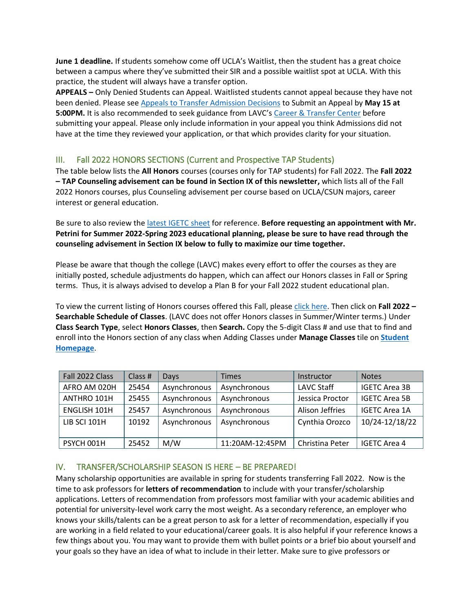**June 1 deadline.** If students somehow come off UCLA's Waitlist, then the student has a great choice between a campus where they've submitted their SIR and a possible waitlist spot at UCLA. With this practice, the student will always have a transfer option.

**APPEALS –** Only Denied Students can Appeal. Waitlisted students cannot appeal because they have not been denied. Please see [Appeals to Transfer Admission Decisions](https://admission.ucla.edu/apply/transfer/transfer-appeals) to Submit an Appeal by **May 15 at 5:00PM.** It is also recommended to seek guidance from LAVC's [Career & Transfer Center](https://lavc.edu/transfer/index.aspx) before submitting your appeal. Please only include information in your appeal you think Admissions did not have at the time they reviewed your application, or that which provides clarity for your situation.

## III. Fall 2022 HONORS SECTIONS (Current and Prospective TAP Students)

The table below lists the **All Honors** courses (courses only for TAP students) for Fall 2022. The **Fall 2022 – TAP Counseling advisement can be found in Section IX of this newsletter,** which lists all of the Fall 2022 Honors courses, plus Counseling advisement per course based on UCLA/CSUN majors, career interest or general education.

Be sure to also review the [latest IGETC sheet](https://lavc.edu/counseling/library/IGETC-2021-2022.pdf) for reference. **Before requesting an appointment with Mr. Petrini for Summer 2022-Spring 2023 educational planning, please be sure to have read through the counseling advisement in Section IX below to fully to maximize our time together.**

Please be aware that though the college (LAVC) makes every effort to offer the courses as they are initially posted, schedule adjustments do happen, which can affect our Honors classes in Fall or Spring terms. Thus, it is always advised to develop a Plan B for your Fall 2022 student educational plan.

To view the current listing of Honors courses offered this Fall, please [click here.](https://lavc.edu/schedule/index.aspx) Then click on **Fall 2022 – Searchable Schedule of Classes**. (LAVC does not offer Honors classes in Summer/Winter terms.) Under **Class Search Type**, select **Honors Classes**, then **Search.** Copy the 5-digit Class # and use that to find and enroll into the Honors section of any class when Adding Classes under **Manage Classes** tile on **[Student](http://www.lavc.edu/sis)  [Homepage](http://www.lavc.edu/sis)**.

| Fall 2022 Class     | Class # | Days         | <b>Times</b>    | Instructor        | <b>Notes</b>         |
|---------------------|---------|--------------|-----------------|-------------------|----------------------|
| AFRO AM 020H        | 25454   | Asynchronous | Asynchronous    | <b>LAVC Staff</b> | <b>IGETC Area 3B</b> |
| ANTHRO 101H         | 25455   | Asynchronous | Asynchronous    | Jessica Proctor   | <b>IGETC Area 5B</b> |
| <b>ENGLISH 101H</b> | 25457   | Asynchronous | Asynchronous    | Alison Jeffries   | <b>IGETC Area 1A</b> |
| LIB SCI 101H        | 10192   | Asynchronous | Asynchronous    | Cynthia Orozco    | 10/24-12/18/22       |
|                     |         |              |                 |                   |                      |
| PSYCH 001H          | 25452   | M/W          | 11:20AM-12:45PM | Christina Peter   | <b>IGETC Area 4</b>  |

#### IV. TRANSFER/SCHOLARSHIP SEASON IS HERE – BE PREPARED!

Many scholarship opportunities are available in spring for students transferring Fall 2022. Now is the time to ask professors for **letters of recommendation** to include with your transfer/scholarship applications. Letters of recommendation from professors most familiar with your academic abilities and potential for university-level work carry the most weight. As a secondary reference, an employer who knows your skills/talents can be a great person to ask for a letter of recommendation, especially if you are working in a field related to your educational/career goals. It is also helpful if your reference knows a few things about you. You may want to provide them with bullet points or a brief bio about yourself and your goals so they have an idea of what to include in their letter. Make sure to give professors or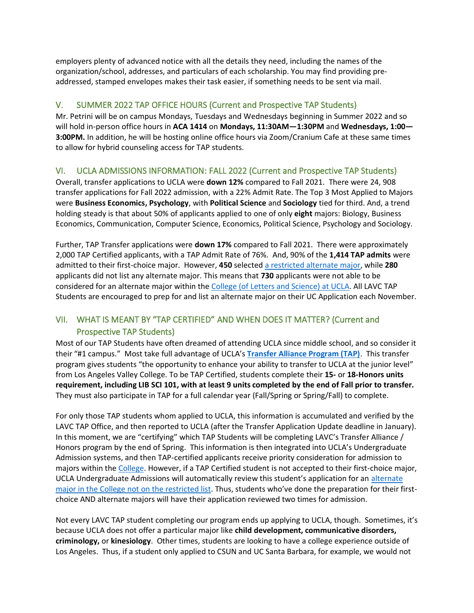employers plenty of advanced notice with all the details they need, including the names of the organization/school, addresses, and particulars of each scholarship. You may find providing preaddressed, stamped envelopes makes their task easier, if something needs to be sent via mail.

## V. SUMMER 2022 TAP OFFICE HOURS (Current and Prospective TAP Students)

Mr. Petrini will be on campus Mondays, Tuesdays and Wednesdays beginning in Summer 2022 and so will hold in-person office hours in **ACA 1414** on **Mondays, 11:30AM—1:30PM** and **Wednesdays, 1:00— 3:00PM.** In addition, he will be hosting online office hours via Zoom/Cranium Cafe at these same times to allow for hybrid counseling access for TAP students.

## VI. UCLA ADMISSIONS INFORMATION: FALL 2022 (Current and Prospective TAP Students)

Overall, transfer applications to UCLA were **down 12%** compared to Fall 2021. There were 24, 908 transfer applications for Fall 2022 admission, with a 22% Admit Rate. The Top 3 Most Applied to Majors were **Business Economics, Psychology**, with **Political Science** and **Sociology** tied for third. And, a trend holding steady is that about 50% of applicants applied to one of only **eight** majors: Biology, Business Economics, Communication, Computer Science, Economics, Political Science, Psychology and Sociology.

Further, TAP Transfer applications were **down 17%** compared to Fall 2021. There were approximately 2,000 TAP Certified applicants, with a TAP Admit Rate of 76%. And, 90% of the **1,414 TAP admits** were admitted to their first-choice major. However, **450** selected [a restricted alternate major,](https://admission.ucla.edu/apply/transfer/ucla-transfer-alliance-program) while **280** applicants did not list any alternate major. This means that **730** applicants were not able to be considered for an alternate major within the [College \(of Letters and Science\)](https://admission.ucla.edu/apply/transfer/deciding-on-major/major-preparation-the-college) at UCLA. All LAVC TAP Students are encouraged to prep for and list an alternate major on their UC Application each November.

## VII. WHAT IS MEANT BY "TAP CERTIFIED" AND WHEN DOES IT MATTER? (Current and Prospective TAP Students)

Most of our TAP Students have often dreamed of attending UCLA since middle school, and so consider it their "#1 campus." Most take full advantage of UCLA's **[Transfer Alliance Program \(TAP\)](https://admission.ucla.edu/apply/transfer/ucla-transfer-alliance-program)**. This transfer program gives students "the opportunity to enhance your ability to transfer to UCLA at the junior level" from Los Angeles Valley College. To be TAP Certified, students complete their **15-** or **18-Honors units requirement, including LIB SCI 101, with at least 9 units completed by the end of Fall prior to transfer.** They must also participate in TAP for a full calendar year (Fall/Spring or Spring/Fall) to complete.

For only those TAP students whom applied to UCLA, this information is accumulated and verified by the LAVC TAP Office, and then reported to UCLA (after the Transfer Application Update deadline in January). In this moment, we are "certifying" which TAP Students will be completing LAVC's Transfer Alliance / Honors program by the end of Spring. This information is then integrated into UCLA's Undergraduate Admission systems, and then TAP-certified applicants receive priority consideration for admission to majors within the [College.](https://www.college.ucla.edu/) However, if a TAP Certified student is not accepted to their first-choice major, UCLA Undergraduate Admissions will automatically review this student's application for an [alternate](https://admission.ucla.edu/apply/transfer/ucla-transfer-alliance-program)  major in the College [not on the restricted list.](https://admission.ucla.edu/apply/transfer/ucla-transfer-alliance-program) Thus, students who've done the preparation for their firstchoice AND alternate majors will have their application reviewed two times for admission.

Not every LAVC TAP student completing our program ends up applying to UCLA, though. Sometimes, it's because UCLA does not offer a particular major like **child development, communicative disorders, criminology,** or **kinesiology**. Other times, students are looking to have a college experience outside of Los Angeles. Thus, if a student only applied to CSUN and UC Santa Barbara, for example, we would not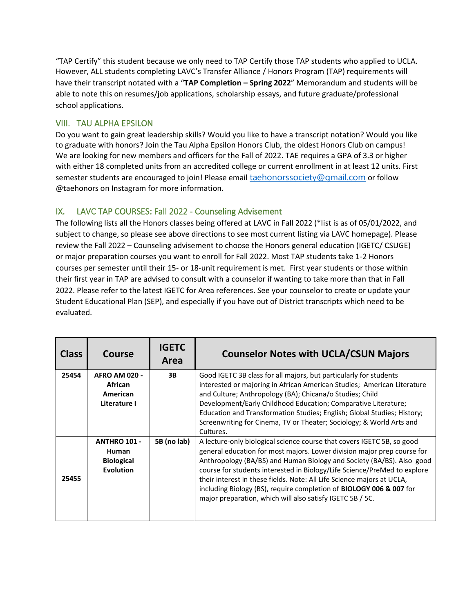"TAP Certify" this student because we only need to TAP Certify those TAP students who applied to UCLA. However, ALL students completing LAVC's Transfer Alliance / Honors Program (TAP) requirements will have their transcript notated with a "**TAP Completion – Spring 2022**" Memorandum and students will be able to note this on resumes/job applications, scholarship essays, and future graduate/professional school applications.

#### VIII. TAU ALPHA EPSILON

Do you want to gain great leadership skills? Would you like to have a transcript notation? Would you like to graduate with honors? Join the Tau Alpha Epsilon Honors Club, the oldest Honors Club on campus! We are looking for new members and officers for the Fall of 2022. TAE requires a GPA of 3.3 or higher with either 18 completed units from an accredited college or current enrollment in at least 12 units. First semester students are encouraged to join! Please email [taehonorssociety@gmail.com](mailto:taehonorssociety@gmail.com) or follow @taehonors on Instagram for more information.

## IX. LAVC TAP COURSES: Fall 2022 - Counseling Advisement

The following lists all the Honors classes being offered at LAVC in Fall 2022 (\*list is as of 05/01/2022, and subject to change, so please see above directions to see most current listing via LAVC homepage). Please review the Fall 2022 – Counseling advisement to choose the Honors general education (IGETC/ CSUGE) or major preparation courses you want to enroll for Fall 2022. Most TAP students take 1-2 Honors courses per semester until their 15- or 18-unit requirement is met. First year students or those within their first year in TAP are advised to consult with a counselor if wanting to take more than that in Fall 2022. Please refer to the latest IGETC for Area references. See your counselor to create or update your Student Educational Plan (SEP), and especially if you have out of District transcripts which need to be evaluated.

| <b>Class</b> | Course                          | <b>IGETC</b><br>Area | <b>Counselor Notes with UCLA/CSUN Majors</b>                                                                                                       |
|--------------|---------------------------------|----------------------|----------------------------------------------------------------------------------------------------------------------------------------------------|
| 25454        | <b>AFRO AM 020 -</b><br>African | 3B                   | Good IGETC 3B class for all majors, but particularly for students<br>interested or majoring in African American Studies; American Literature       |
|              | American                        |                      | and Culture; Anthropology (BA); Chicana/o Studies; Child                                                                                           |
|              | Literature I                    |                      | Development/Early Childhood Education; Comparative Literature;                                                                                     |
|              |                                 |                      | Education and Transformation Studies; English; Global Studies; History;                                                                            |
|              |                                 |                      | Screenwriting for Cinema, TV or Theater; Sociology; & World Arts and<br>Cultures.                                                                  |
|              | <b>ANTHRO 101 -</b>             | 5B (no lab)          | A lecture-only biological science course that covers IGETC 5B, so good                                                                             |
|              | Human                           |                      | general education for most majors. Lower division major prep course for                                                                            |
|              | <b>Biological</b>               |                      | Anthropology (BA/BS) and Human Biology and Society (BA/BS). Also good                                                                              |
| 25455        | <b>Evolution</b>                |                      | course for students interested in Biology/Life Science/PreMed to explore<br>their interest in these fields. Note: All Life Science majors at UCLA, |
|              |                                 |                      | including Biology (BS), require completion of BIOLOGY 006 & 007 for<br>major preparation, which will also satisfy IGETC 5B / 5C.                   |
|              |                                 |                      |                                                                                                                                                    |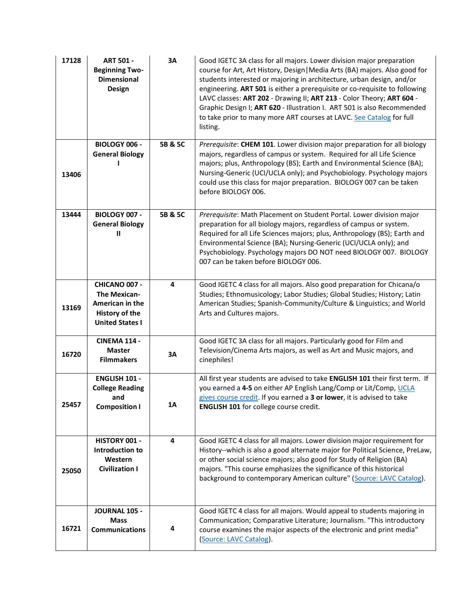| 17128 | <b>ART 501 -</b><br><b>Beginning Two-</b><br><b>Dimensional</b><br>Design                                  | 3A      | Good IGETC 3A class for all majors. Lower division major preparation<br>course for Art, Art History, Design   Media Arts (BA) majors. Also good for<br>students interested or majoring in architecture, urban design, and/or<br>engineering. ART 501 is either a prerequisite or co-requisite to following<br>LAVC classes: ART 202 - Drawing II; ART 213 - Color Theory; ART 604 -<br>Graphic Design I; ART 620 - Illustration I. ART 501 is also Recommended<br>to take prior to many more ART courses at LAVC. See Catalog for full<br>listing. |
|-------|------------------------------------------------------------------------------------------------------------|---------|----------------------------------------------------------------------------------------------------------------------------------------------------------------------------------------------------------------------------------------------------------------------------------------------------------------------------------------------------------------------------------------------------------------------------------------------------------------------------------------------------------------------------------------------------|
| 13406 | <b>BIOLOGY 006 -</b><br><b>General Biology</b>                                                             | 5B & 5C | Prerequisite: CHEM 101. Lower division major preparation for all biology<br>majors, regardless of campus or system. Required for all Life Science<br>majors; plus, Anthropology (BS); Earth and Environmental Science (BA);<br>Nursing-Generic (UCI/UCLA only); and Psychobiology. Psychology majors<br>could use this class for major preparation. BIOLOGY 007 can be taken<br>before BIOLOGY 006.                                                                                                                                                |
| 13444 | <b>BIOLOGY 007 -</b><br><b>General Biology</b><br>Ш                                                        | 5B & 5C | Prerequisite: Math Placement on Student Portal. Lower division major<br>preparation for all biology majors, regardless of campus or system.<br>Required for all Life Sciences majors; plus, Anthropology (BS); Earth and<br>Environmental Science (BA); Nursing-Generic (UCI/UCLA only); and<br>Psychobiology. Psychology majors DO NOT need BIOLOGY 007. BIOLOGY<br>007 can be taken before BIOLOGY 006.                                                                                                                                          |
| 13169 | CHICANO 007 -<br><b>The Mexican-</b><br>American in the<br><b>History of the</b><br><b>United States I</b> | 4       | Good IGETC 4 class for all majors. Also good preparation for Chicana/o<br>Studies; Ethnomusicology; Labor Studies; Global Studies; History; Latin<br>American Studies; Spanish-Community/Culture & Linguistics; and World<br>Arts and Cultures majors.                                                                                                                                                                                                                                                                                             |
| 16720 | <b>CINEMA 114 -</b><br><b>Master</b><br><b>Filmmakers</b>                                                  | 3A      | Good IGETC 3A class for all majors. Particularly good for Film and<br>Television/Cinema Arts majors, as well as Art and Music majors, and<br>cinephiles!                                                                                                                                                                                                                                                                                                                                                                                           |
| 25457 | <b>ENGLISH 101 -</b><br><b>College Reading</b><br>and<br><b>Composition I</b>                              | 1A      | All first year students are advised to take ENGLISH 101 their first term. If<br>you earned a 4-5 on either AP English Lang/Comp or Lit/Comp, UCLA<br>gives course credit. If you earned a 3 or lower, it is advised to take<br><b>ENGLISH 101</b> for college course credit.                                                                                                                                                                                                                                                                       |
| 25050 | HISTORY 001 -<br>Introduction to<br>Western<br><b>Civilization I</b>                                       | 4       | Good IGETC 4 class for all majors. Lower division major requirement for<br>History--which is also a good alternate major for Political Science, PreLaw,<br>or other social science majors; also good for Study of Religion (BA)<br>majors. "This course emphasizes the significance of this historical<br>background to contemporary American culture" (Source: LAVC Catalog).                                                                                                                                                                     |
| 16721 | <b>JOURNAL 105 -</b><br><b>Mass</b><br><b>Communications</b>                                               | 4       | Good IGETC 4 class for all majors. Would appeal to students majoring in<br>Communication; Comparative Literature; Journalism. "This introductory<br>course examines the major aspects of the electronic and print media"<br><b>Source: LAVC Catalog).</b>                                                                                                                                                                                                                                                                                          |